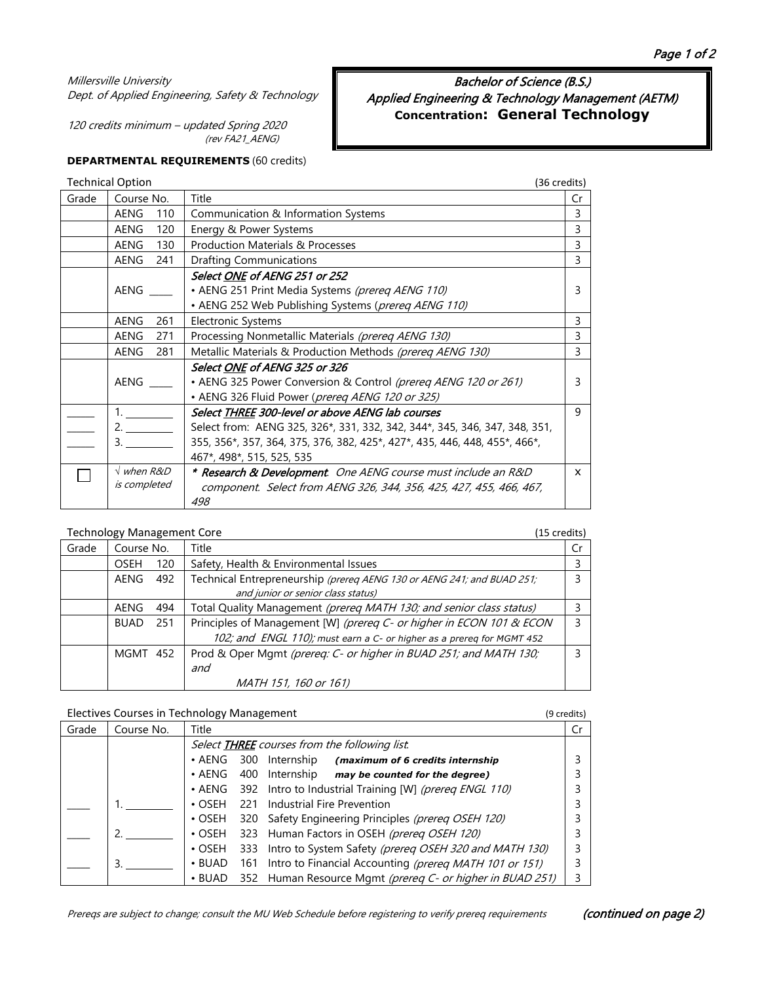# Millersville University Dept. of Applied Engineering, Safety & Technology

120 credits minimum – updated Spring 2020 (rev FA21\_AENG)

Bachelor of Science (B.S.) Applied Engineering & Technology Management (AETM) **Concentration: General Technology**

# **DEPARTMENTAL REQUIREMENTS** (60 credits)

|       | <b>Technical Option</b> | (36 credits)                                                               |              |
|-------|-------------------------|----------------------------------------------------------------------------|--------------|
| Grade | Course No.              | Title                                                                      | Cr           |
|       | AENG<br>110             | Communication & Information Systems                                        | 3            |
|       | AENG<br>120             | Energy & Power Systems                                                     | 3            |
|       | AENG<br>130             | <b>Production Materials &amp; Processes</b>                                | 3            |
|       | AENG<br>241             | <b>Drafting Communications</b>                                             | 3            |
|       |                         | Select ONE of AENG 251 or 252                                              |              |
|       | AENG                    | • AENG 251 Print Media Systems (prereq AENG 110)                           | 3            |
|       |                         | • AENG 252 Web Publishing Systems (prereq AENG 110)                        |              |
|       | AENG<br>261             | <b>Electronic Systems</b>                                                  | 3            |
|       | AENG<br>271             | Processing Nonmetallic Materials (prereq AENG 130)                         | 3            |
|       | 281<br>AENG             | Metallic Materials & Production Methods (prereq AENG 130)                  | 3            |
|       |                         | Select <u>ONE</u> of AENG 325 or 326                                       |              |
|       | AENG                    | • AENG 325 Power Conversion & Control (prereq AENG 120 or 261)             | 3            |
|       |                         | • AENG 326 Fluid Power (prereq AENG 120 or 325)                            |              |
|       |                         | Select THREE 300-level or above AENG lab courses                           | 9            |
|       | 2.                      | Select from: AENG 325, 326*, 331, 332, 342, 344*, 345, 346, 347, 348, 351, |              |
|       | 3.                      | 355, 356*, 357, 364, 375, 376, 382, 425*, 427*, 435, 446, 448, 455*, 466*, |              |
|       |                         | 467*, 498*, 515, 525, 535                                                  |              |
|       | $\sqrt{when R\&D}$      | * Research & Development. One AENG course must include an R&D              | $\mathsf{x}$ |
|       | is completed            | component. Select from AENG 326, 344, 356, 425, 427, 455, 466, 467,        |              |
|       |                         | 498                                                                        |              |

# Technology Management Core (15 credits)

|       | ັ                  |                                                                        |    |
|-------|--------------------|------------------------------------------------------------------------|----|
| Grade | Course No.         | Title                                                                  | Cr |
|       | <b>OSEH</b><br>120 | Safety, Health & Environmental Issues                                  |    |
|       | AENG<br>492        | Technical Entrepreneurship (prereg AENG 130 or AENG 241; and BUAD 251; |    |
|       |                    | and junior or senior class status)                                     |    |
|       | AENG<br>494        | Total Quality Management (prereg MATH 130; and senior class status)    |    |
|       | <b>BUAD</b><br>251 | Principles of Management [W] (prereq C- or higher in ECON 101 & ECON   | 3  |
|       |                    | 102; and ENGL 110); must earn a C- or higher as a prereg for MGMT 452  |    |
|       | MGMT 452           | Prod & Oper Mgmt (prereq: C- or higher in BUAD 251; and MATH 130;      | ξ  |
|       |                    | and                                                                    |    |
|       |                    | MATH 151, 160 or 161)                                                  |    |

# Electives Courses in Technology Management (9 credits) (9 credits)

| Grade | Course No. | Title          |     |                                                               |  |
|-------|------------|----------------|-----|---------------------------------------------------------------|--|
|       |            |                |     | Select <b>THREE</b> courses from the following list.          |  |
|       |            | $\bullet$ AENG |     | 300 Internship<br>(maximum of 6 credits internship            |  |
|       |            | $\bullet$ AENG |     | 400 Internship may be counted for the degree)                 |  |
|       |            |                |     | • AENG 392 Intro to Industrial Training [W] (prereq ENGL 110) |  |
|       |            | $\cdot$ OSFH   | 221 | Industrial Fire Prevention                                    |  |
|       |            |                |     | • OSEH 320 Safety Engineering Principles (prereq OSEH 120)    |  |
|       |            |                |     | • OSEH 323 Human Factors in OSEH (prereq OSEH 120)            |  |
|       |            | $\cdot$ OSEH   | 333 | Intro to System Safety (prereg OSEH 320 and MATH 130)         |  |
|       |            | $\cdot$ BUAD   |     | 161 Intro to Financial Accounting (prereg MATH 101 or 151)    |  |
|       |            | $\cdot$ BUAD   |     | 352 Human Resource Mgmt (prereq C- or higher in BUAD 251)     |  |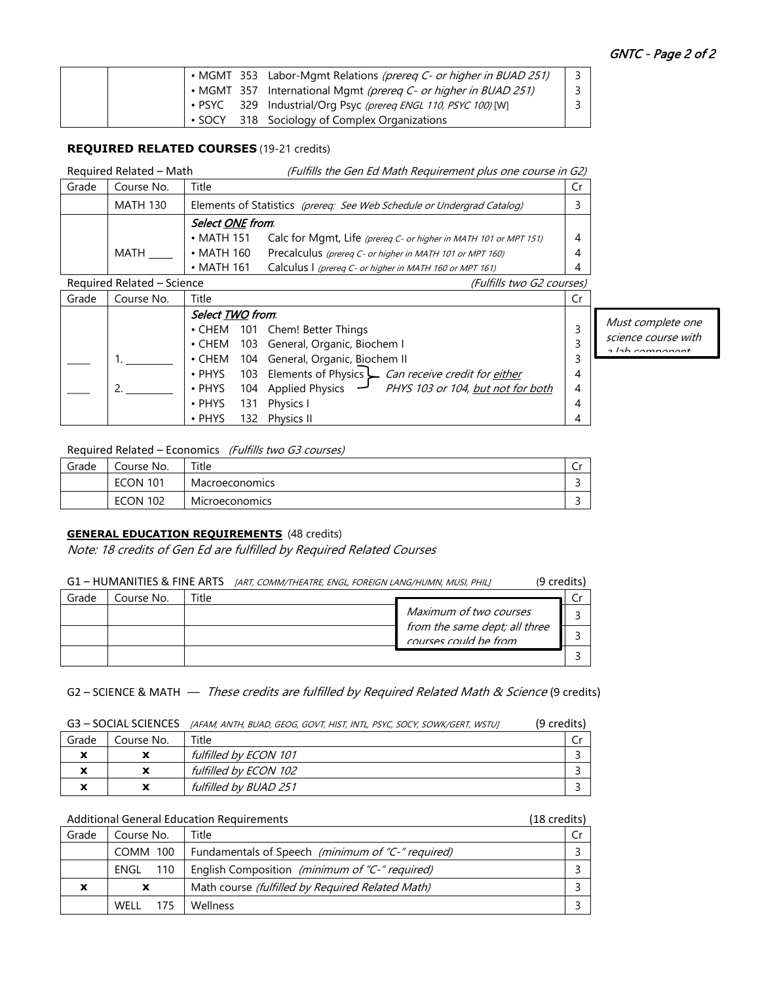|  |  | • MGMT 353 Labor-Mgmt Relations (prereq C- or higher in BUAD 251) |  |
|--|--|-------------------------------------------------------------------|--|
|  |  | • MGMT 357 International Mgmt (prereq C- or higher in BUAD 251)   |  |
|  |  | • PSYC 329 Industrial/Org Psyc (prereq ENGL 110, PSYC 100) [W]    |  |
|  |  | SOCY 318 Sociology of Complex Organizations                       |  |

#### **REQUIRED RELATED COURSES** (19-21 credits)

|       | Required Related - Math | (Fulfills the Gen Ed Math Requirement plus one course in G2)           |  |
|-------|-------------------------|------------------------------------------------------------------------|--|
| Grade | Course No.              | Title                                                                  |  |
|       | MATH 130                | Elements of Statistics (prereg: See Web Schedule or Undergrad Catalog) |  |

|      |                    | $\blacksquare$                                                   | -              |
|------|--------------------|------------------------------------------------------------------|----------------|
|      | Select ONE from.   |                                                                  |                |
|      | $\bullet$ MATH 151 | Calc for Mgmt, Life (prereg C- or higher in MATH 101 or MPT 151) |                |
| MATH | $\bullet$ MATH 160 | Precalculus (prereq C- or higher in MATH 101 or MPT 160)         | $\overline{4}$ |
|      | $\bullet$ MATH 161 | Calculus I (prereq C- or higher in MATH 160 or MPT 161)          |                |

|       | Required Related - Science |                  | (Fulfills two G2 courses)                                    |    |                           |
|-------|----------------------------|------------------|--------------------------------------------------------------|----|---------------------------|
| Grade | Course No.                 | Title            |                                                              | Cr |                           |
|       |                            | Select TWO from. |                                                              |    |                           |
|       |                            |                  | • CHEM 101 Chem! Better Things                               |    | Mus                       |
|       |                            |                  | • CHEM 103 General, Organic, Biochem I                       |    | scie<br>$\sim I_{\rm BH}$ |
|       |                            |                  | • CHEM 104 General, Organic, Biochem II                      |    |                           |
|       |                            |                  | • PHYS 103 Elements of Physics Can receive credit for either | 4  |                           |
|       |                            | $\cdot$ PHYS     | 104 Applied Physics - PHYS 103 or 104, but not for both      | 4  |                           |
|       |                            | $\cdot$ PHYS     | 131 Physics I                                                | 4  |                           |
|       |                            | • PHYS           | 132 Physics II                                               | 4  |                           |

t complete one nce course with a lab component

### Required Related – Economics (Fulfills two G3 courses)

| Grade | Course No.      | Title                 | ີ |
|-------|-----------------|-----------------------|---|
|       | <b>ECON 101</b> | <b>Macroeconomics</b> |   |
|       | <b>ECON 102</b> | <b>Microeconomics</b> |   |

### **GENERAL EDUCATION REQUIREMENTS** (48 credits)

Note: 18 credits of Gen Ed are fulfilled by Required Related Courses

#### G1 - HUMANITIES & FINE ARTS [ART, COMM/THEATRE, ENGL, FOREIGN LANG/HUMN, MUSI, PHIL] (9 credits)

| Grade | Course No. | Title |                                                        |  |
|-------|------------|-------|--------------------------------------------------------|--|
|       |            |       | Maximum of two courses                                 |  |
|       |            |       | from the same dept; all three<br>courses could be from |  |
|       |            |       |                                                        |  |

# G2 – SCIENCE & MATH — These credits are fulfilled by Required Related Math & Science (9 credits)

|  | G3 - SOCIAL SCIENCES [AFAM, ANTH, BUAD, GEOG, GOVT, HIST, INTL, PSYC, SOCY, SOWK/GERT, WSTUJ | (9 credits) |
|--|----------------------------------------------------------------------------------------------|-------------|
|--|----------------------------------------------------------------------------------------------|-------------|

| Grade                    | Course No. | Title                 |  |
|--------------------------|------------|-----------------------|--|
| $\overline{\phantom{a}}$ | ^          | fulfilled by ECON 101 |  |
|                          | x          | fulfilled by ECON 102 |  |
| w                        | x          | fulfilled by BUAD 251 |  |

#### Additional General Education Requirements (18 credits)

| Grade | Course No.  | Title                                                     |  |
|-------|-------------|-----------------------------------------------------------|--|
|       | COMM 100    | Fundamentals of Speech (minimum of "C-" required)         |  |
|       |             | ENGL 110   English Composition (minimum of "C-" required) |  |
|       |             | Math course (fulfilled by Required Related Math)          |  |
|       | WFII<br>175 | Wellness                                                  |  |